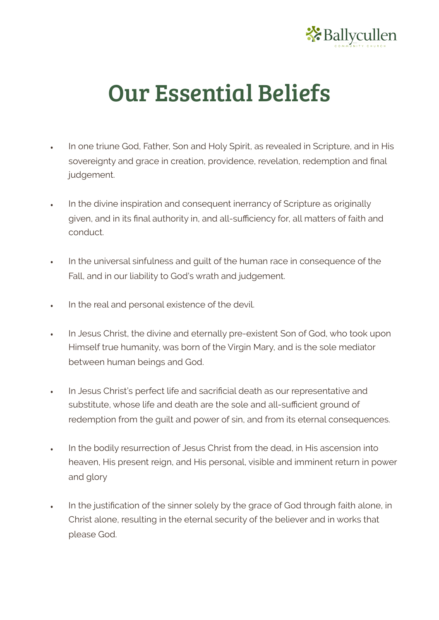

## Our Essential Beliefs

- In one triune God, Father, Son and Holy Spirit, as revealed in Scripture, and in His sovereignty and grace in creation, providence, revelation, redemption and final judgement.
- In the divine inspiration and consequent inerrancy of Scripture as originally given, and in its final authority in, and all-sufficiency for, all matters of faith and conduct.
- In the universal sinfulness and guilt of the human race in consequence of the Fall, and in our liability to God's wrath and judgement.
- In the real and personal existence of the devil.
- In Jesus Christ, the divine and eternally pre-existent Son of God, who took upon Himself true humanity, was born of the Virgin Mary, and is the sole mediator between human beings and God.
- In Jesus Christ's perfect life and sacrificial death as our representative and substitute, whose life and death are the sole and all-sufficient ground of redemption from the guilt and power of sin, and from its eternal consequences.
- In the bodily resurrection of Jesus Christ from the dead, in His ascension into heaven, His present reign, and His personal, visible and imminent return in power and glory
- In the justification of the sinner solely by the grace of God through faith alone, in Christ alone, resulting in the eternal security of the believer and in works that please God.